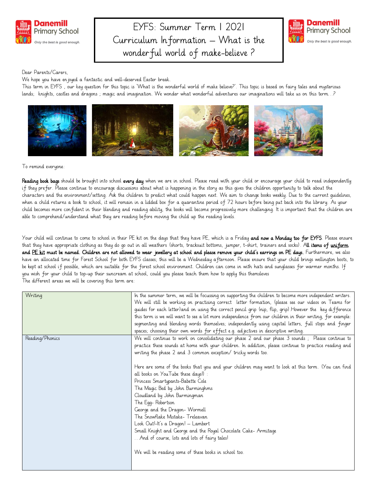

# EYFS: Summer Term 1 2021 Curriculum Information – What is the wonderful world of make-believe ?



#### Dear Parents/Carers,

We hope you have enjoyed a fantastic and well-deserved Easter break.

This term in EYFS , our key question for this topic is 'What is the wonderful world of make believe?'. This topic is based on fairy tales and mysterious lands; knights, castles and dragons ; magic and imagination. We wonder what wonderful adventures our imaginations will take us on this term…?



To remind everyone:

Reading book bags should be brought into school every day when we are in school. Please read with your child or encourage your child to read independently if they prefer. Please continue to encourage discussions about what is happening in the story as this gives the children opportunity to talk about the characters and the environment/setting. Ask the children to predict what could happen next. We aim to change books weekly. Due to the current guidelines, when a child returns a book to school, it will remain in a lidded box for a quarantine period of 72 hours before being put back into the library. As your child becomes more confident in their blending and reading ability, the books will become progressively more challenging. It is important that the children are able to comprehend/understand what they are reading before moving the child up the reading levels.

Your child will continue to come to school in their PE kit on the days that they have PE, which is a Friday **and now a Monday too for EYFS**. Please ensure that they have appropriate clothing as they do go out in all weathers (shorts, tracksuit bottoms, jumper, t-shirt, trainers and socks). All items of uniform and PE kit must be named. Children are not allowed to wear jewellery at school and please remove your child's earrings on PE days. Furthermore, we also have an allocated time for Forest School for both EYFS classes; this will be a Wednesday afternoon. Please ensure that your child brings wellington boots, to be kept at school if possible, which are suitable for the forest school environment. Children can come in with hats and sunglasses for warmer months. If you wish for your child to top-up their suncream at school, could you please teach them how to apply this themsleves The different areas we will be covering this term are:

| In the summer term, we will be focussing on supporting the children to become more independent writers.   |
|-----------------------------------------------------------------------------------------------------------|
| We will still be working on practising correct letter formation, (please see our videos on Teams for      |
| guides for each letter)and on using the correct pencil grip (nip, flip, grip).However the key difference  |
| this term is we will want to see a lot more independence from our children in their writing, for example: |
| segmenting and blending words themselves; independently using capital letters, full stops and finger      |
| spaces; choosing their own words for effect e.g. adjectives in descriptive writing.                       |
| We will continue to work on consolidating our phase 2 and our phase 3 sounds; Please continue to          |
| practice these sounds at home with your children. In addition, please continue to practice reading and    |
| writing the phase 2 and 3 common exception/ tricky words too.                                             |
|                                                                                                           |
| Here are some of the books that you and your children may want to look at this term. (You can find        |
| all books on YouTube these days!):                                                                        |
| Princess Smartypants-Babette Cole                                                                         |
| The Magic Bed by John Burminghms                                                                          |
| Cloudland by John Burmingman                                                                              |
| The Egg-Robertson                                                                                         |
| George and the Dragon- Wormell                                                                            |
| The Snowflake Mistake- Treleavan                                                                          |
| Look Out!-It's a Dragon! - Lambert                                                                        |
| Small Knight and George and the Royal Chocolate Cake- Armitage                                            |
| And of course, lots and lots of fairy tales!                                                              |
|                                                                                                           |
|                                                                                                           |
|                                                                                                           |
| We will be reading some of these books in school too.                                                     |
|                                                                                                           |